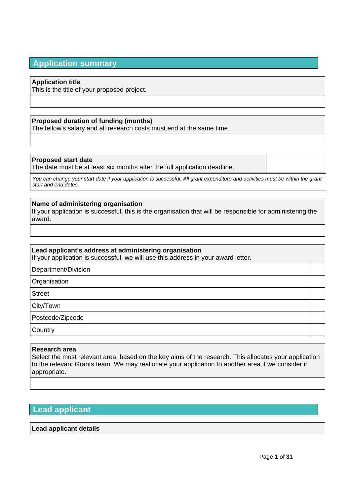# **Application summary**

## **Application title**

This is the title of your proposed project.

## **Proposed duration of funding (months)**

The fellow's salary and all research costs must end at the same time.

## **Proposed start date**

The date must be at least six months after the full application deadline.

*You can change your start date if your application is successful. All grant expenditure and activities must be within the grant start and end dates.*

## **Name of administering organisation**

If your application is successful, this is the organisation that will be responsible for administering the award.

## **Lead applicant's address at administering organisation**

If your application is successful, we will use this address in your award letter.

Department/Division

**Organisation** 

**Street** 

City/Town

Postcode/Zipcode

**Country** 

## **Research area**

Select the most relevant area, based on the key aims of the research. This allocates your application to the relevant Grants team. We may reallocate your application to another area if we consider it appropriate.

# **Lead applicant**

## **Lead applicant details**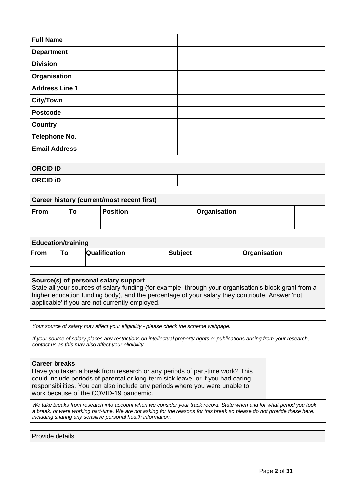| <b>Full Name</b>      |  |
|-----------------------|--|
| <b>Department</b>     |  |
| <b>Division</b>       |  |
| Organisation          |  |
| <b>Address Line 1</b> |  |
| <b>City/Town</b>      |  |
| <b>Postcode</b>       |  |
| <b>Country</b>        |  |
| <b>Telephone No.</b>  |  |
| <b>Email Address</b>  |  |

# **ORCID iD**

**ORCID iD**

| <b>Career history (current/most recent first)</b>           |  |  |  |  |  |
|-------------------------------------------------------------|--|--|--|--|--|
| From<br><b>Position</b><br><i><b>Organisation</b></i><br>Т٥ |  |  |  |  |  |
|                                                             |  |  |  |  |  |

# **Education/training From To Qualification Subject Organisation**

## **Source(s) of personal salary support**

State all your sources of salary funding (for example, through your organisation's block grant from a higher education funding body), and the percentage of your salary they contribute. Answer 'not applicable' if you are not currently employed.

*Your source of salary may affect your eligibility - please check th[e scheme webpage.](https://wellcome.org/funding/schemes/research-career-re-entry-fellowships)*

*If your source of salary places any restrictions on intellectual property rights or publications arising from your research, contact us as this may also affect your eligibility.*

# **Career breaks**

| I YUI YYI DI YUINJ                                                              |  |
|---------------------------------------------------------------------------------|--|
| Have you taken a break from research or any periods of part-time work? This     |  |
| could include periods of parental or long-term sick leave, or if you had caring |  |
| responsibilities. You can also include any periods where you were unable to     |  |
| work because of the COVID-19 pandemic.                                          |  |
|                                                                                 |  |

*We take breaks from research into account when we consider your track record. State when and for what period you took a break, or were working part-time. We are not asking for the reasons for this break so please do not provide these here, including sharing any sensitive personal health information.*

Provide details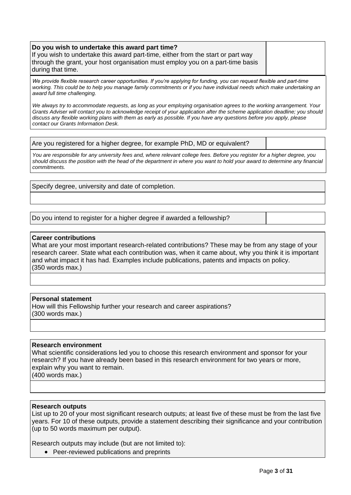## **Do you wish to undertake this award part time?**

If you wish to undertake this award part-time, either from the start or part way through the grant, your host organisation must employ you on a part-time basis during that time.

*We provide flexible research career opportunities. If you're applying for funding, you can request flexible and part-time*  working. This could be to help you manage family commitments or if you have individual needs which make undertaking an *award full time challenging.*

*We always try to accommodate requests, as long as your employing organisation agrees to the working arrangement. Your Grants Adviser will contact you to acknowledge receipt of your application after the scheme application deadline; you should discuss any flexible working plans with them as early as possible. If you have any questions before you apply, please contact our Grants Information Desk.*

Are you registered for a higher degree, for example PhD, MD or equivalent?

*You are responsible for any university fees and, where relevant college fees. Before you register for a higher degree, you should discuss the position with the head of the department in where you want to hold your award to determine any financial commitments.*

Specify degree, university and date of completion.

Do you intend to register for a higher degree if awarded a fellowship?

## **Career contributions**

What are your most important research-related contributions? These may be from any stage of your research career. State what each contribution was, when it came about, why you think it is important and what impact it has had. Examples include publications, patents and impacts on policy. (350 words max.)

## **Personal statement**

How will this Fellowship further your research and career aspirations? (300 words max.)

## **Research environment**

What scientific considerations led you to choose this research environment and sponsor for your research? If you have already been based in this research environment for two years or more, explain why you want to remain.

(400 words max.)

## **Research outputs**

List up to 20 of your most significant research outputs; at least five of these must be from the last five years. For 10 of these outputs, provide a statement describing their significance and your contribution (up to 50 words maximum per output).

Research outputs may include (but are not limited to):

• Peer-reviewed publications and preprints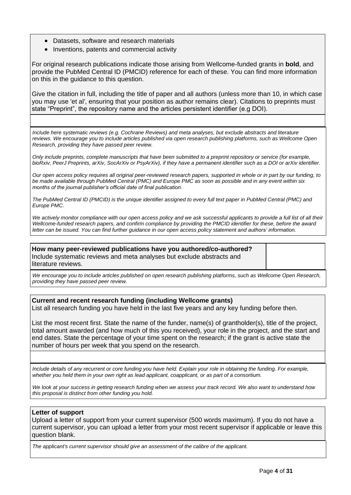- Datasets, software and research materials
- Inventions, patents and commercial activity

For original research publications indicate those arising from Wellcome-funded grants in **bold**, and provide the PubMed Central ID (PMCID) reference for each of these. You can find more information on this in the guidance to this question.

Give the citation in full, including the title of paper and all authors (unless more than 10, in which case you may use 'et al', ensuring that your position as author remains clear). Citations to preprints must state "Preprint", the repository name and the articles persistent identifier (e.g DOI).

*Include here systematic reviews (e.g. Cochrane Reviews) and meta analyses, but exclude abstracts and literature reviews. We encourage you to include articles published via open research publishing platforms, such as Wellcome Open Research, providing they have passed peer review.*

*Only include preprints, complete manuscripts that have been submitted to a preprint repository or service (for example, bioRxiv, PeerJ Preprints, arXiv, SocArXiv or PsyArXiv), if they have a permanent identifier such as a DOI or arXiv identifier.*

*Our open access policy requires all original peer-reviewed research papers, supported in whole or in part by our funding, to be made available through PubMed Central (PMC) and Europe PMC as soon as possible and in any event within six months of the journal publisher's official date of final publication.*

*The PubMed Central ID (PMCID) is the unique identifier assigned to every full text paper in PubMed Central (PMC) and Europe PMC.*

We actively monitor compliance with our open access policy and we ask successful applicants to provide a full list of all their *Wellcome-funded research papers, and confirm compliance by providing the PMCID identifier for these, before the award letter can be issued. You can find further guidance in our [open access policy statement](http://www.wellcome.org/funding/managing-grant/open-access-policy) and [authors' information.](http://www.wellcome.org/funding/managing-grant/open-access-information-authors)*

**How many peer-reviewed publications have you authored/co-authored?** Include systematic reviews and meta analyses but exclude abstracts and literature reviews.

*We encourage you to include articles published on open research publishing platforms, such as Wellcome Open Research, providing they have passed peer review.*

## **Current and recent research funding (including Wellcome grants)**

List all research funding you have held in the last five years and any key funding before then.

List the most recent first. State the name of the funder, name(s) of grantholder(s), title of the project, total amount awarded (and how much of this you received), your role in the project, and the start and end dates. State the percentage of your time spent on the research; if the grant is active state the number of hours per week that you spend on the research.

*Include details of any recurrent or core funding you have held. Explain your role in obtaining the funding. For example, whether you held them in your own right as lead applicant, coapplicant, or as part of a consortium.*

*We look at your success in getting research funding when we assess your track record. We also want to understand how this proposal is distinct from other funding you hold.*

## **Letter of support**

Upload a letter of support from your current supervisor (500 words maximum). If you do not have a current supervisor, you can upload a letter from your most recent supervisor if applicable or leave this question blank.

*The applicant's current supervisor should give an assessment of the calibre of the applicant.*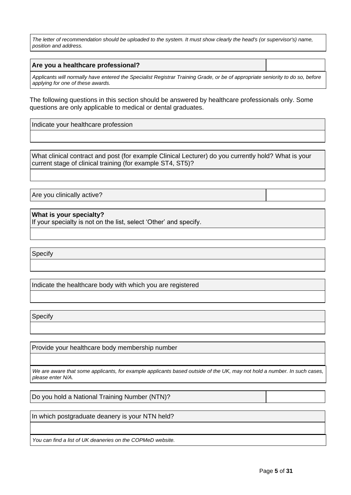*The letter of recommendation should be uploaded to the system. It must show clearly the head's (or supervisor's) name, position and address.*

#### **Are you a healthcare professional?**

*Applicants will normally have entered the Specialist Registrar Training Grade, or be of appropriate seniority to do so, before applying for one of these awards.*

The following questions in this section should be answered by healthcare professionals only. Some questions are only applicable to medical or dental graduates.

Indicate your healthcare profession

What clinical contract and post (for example Clinical Lecturer) do you currently hold? What is your current stage of clinical training (for example ST4, ST5)?

Are you clinically active?

**What is your specialty?**

If your specialty is not on the list, select 'Other' and specify.

Specify

Indicate the healthcare body with which you are registered

**Specify** 

Provide your healthcare body membership number

*We are aware that some applicants, for example applicants based outside of the UK, may not hold a number. In such cases, please enter N/A.*

Do you hold a National Training Number (NTN)?

In which postgraduate deanery is your NTN held?

*You can find a list of UK deaneries on the [COPMeD](http://www.copmed.org.uk/) website.*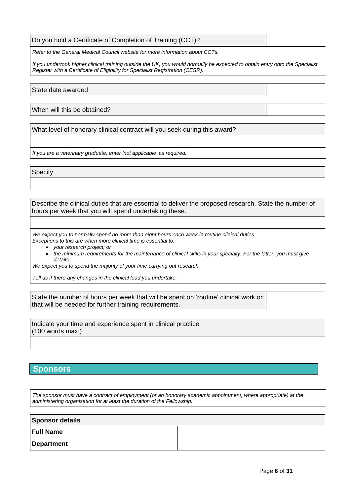| Do you hold a Certificate of Completion of Training (CCT)?                    |  |
|-------------------------------------------------------------------------------|--|
| Refer to the General Medical Council website for more information about CCTs. |  |

*If you undertook higher clinical training outside the UK, you would normally be expected to obtain entry onto the Specialist Register with a Certificate of Eligibility for Specialist Registration (CESR).*

State date awarded

When will this be obtained?

What level of honorary clinical contract will you seek during this award?

*If you are a veterinary graduate, enter 'not applicable' as required.*

**Specify** 

Describe the clinical duties that are essential to deliver the proposed research. State the number of hours per week that you will spend undertaking these.

*We expect you to normally spend no more than eight hours each week in routine clinical duties. Exceptions to this are when more clinical time is essential to:*

- *your research project; or*
- *the minimum requirements for the maintenance of clinical skills in your specialty. For the latter, you must give details.*

*We expect you to spend the majority of your time carrying out research.*

*Tell us if there any changes in the clinical load you undertake.*

State the number of hours per week that will be spent on 'routine' clinical work or that will be needed for further training requirements.

Indicate your time and experience spent in clinical practice (100 words max.)

## **Sponsors**

*The sponsor must have a contract of employment (or an honorary academic appointment, where appropriate) at the administering organisation for at least the duration of the Fellowship.*

| <b>Sponsor details</b> |  |  |  |  |
|------------------------|--|--|--|--|
| <b>Full Name</b>       |  |  |  |  |
| Department             |  |  |  |  |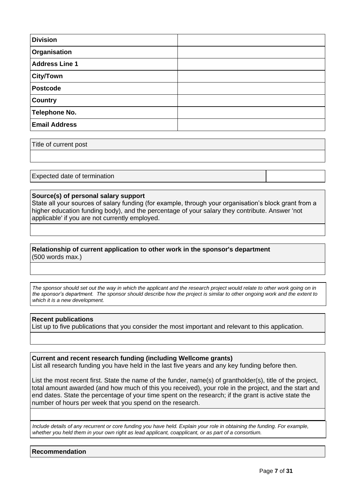| <b>Division</b>       |  |
|-----------------------|--|
| Organisation          |  |
| <b>Address Line 1</b> |  |
| <b>City/Town</b>      |  |
| <b>Postcode</b>       |  |
| <b>Country</b>        |  |
| <b>Telephone No.</b>  |  |
| <b>Email Address</b>  |  |

Title of current post

Expected date of termination

## **Source(s) of personal salary support**

State all your sources of salary funding (for example, through your organisation's block grant from a higher education funding body), and the percentage of your salary they contribute. Answer 'not applicable' if you are not currently employed.

## **Relationship of current application to other work in the sponsor's department** (500 words max.)

*The sponsor should set out the way in which the applicant and the research project would relate to other work going on in the sponsor's department. The sponsor should describe how the project is similar to other ongoing work and the extent to which it is a new development.*

#### **Recent publications**

List up to five publications that you consider the most important and relevant to this application.

## **Current and recent research funding (including Wellcome grants)**

List all research funding you have held in the last five years and any key funding before then.

List the most recent first. State the name of the funder, name(s) of grantholder(s), title of the project, total amount awarded (and how much of this you received), your role in the project, and the start and end dates. State the percentage of your time spent on the research; if the grant is active state the number of hours per week that you spend on the research.

*Include details of any recurrent or core funding you have held. Explain your role in obtaining the funding. For example, whether you held them in your own right as lead applicant, coapplicant, or as part of a consortium.*

**Recommendation**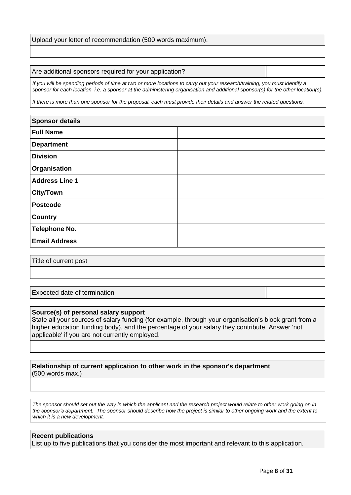Upload your letter of recommendation (500 words maximum).

#### Are additional sponsors required for your application?

*If you will be spending periods of time at two or more locations to carry out your research/training, you must identify a sponsor for each location, i.e. a sponsor at the administering organisation and additional sponsor(s) for the other location(s).*

*If there is more than one sponsor for the proposal, each must provide their details and answer the related questions.*

| <b>Sponsor details</b> |  |
|------------------------|--|
| <b>Full Name</b>       |  |
| <b>Department</b>      |  |
| <b>Division</b>        |  |
| <b>Organisation</b>    |  |
| <b>Address Line 1</b>  |  |
| <b>City/Town</b>       |  |
| <b>Postcode</b>        |  |
| <b>Country</b>         |  |
| <b>Telephone No.</b>   |  |
| <b>Email Address</b>   |  |

Title of current post

Expected date of termination

#### **Source(s) of personal salary support**

State all your sources of salary funding (for example, through your organisation's block grant from a higher education funding body), and the percentage of your salary they contribute. Answer 'not applicable' if you are not currently employed.

#### **Relationship of current application to other work in the sponsor's department** (500 words max.)

*The sponsor should set out the way in which the applicant and the research project would relate to other work going on in the sponsor's department. The sponsor should describe how the project is similar to other ongoing work and the extent to which it is a new development.*

## **Recent publications**

List up to five publications that you consider the most important and relevant to this application.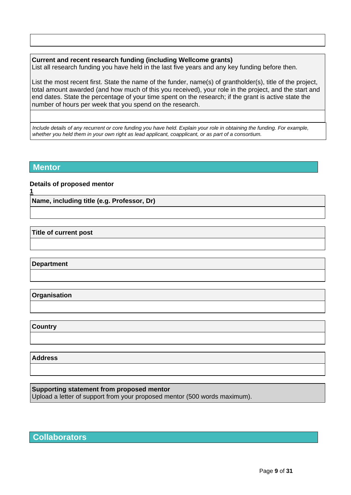## **Current and recent research funding (including Wellcome grants)**

List all research funding you have held in the last five years and any key funding before then.

List the most recent first. State the name of the funder, name(s) of grantholder(s), title of the project, total amount awarded (and how much of this you received), your role in the project, and the start and end dates. State the percentage of your time spent on the research; if the grant is active state the number of hours per week that you spend on the research.

*Include details of any recurrent or core funding you have held. Explain your role in obtaining the funding. For example, whether you held them in your own right as lead applicant, coapplicant, or as part of a consortium.*

## **Mentor**

**1**

## **Details of proposed mentor**

**Name, including title (e.g. Professor, Dr)**

**Title of current post**

**Department**

**Organisation**

**Country**

**Address**

**Supporting statement from proposed mentor**

Upload a letter of support from your proposed mentor (500 words maximum).

**Collaborators**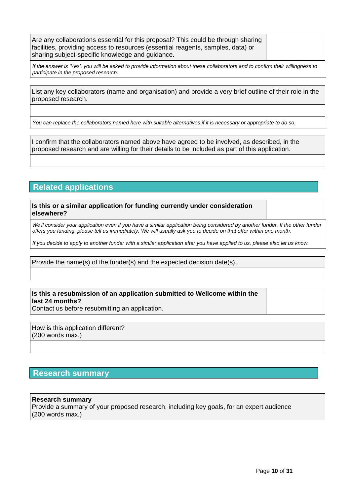Are any collaborations essential for this proposal? This could be through sharing facilities, providing access to resources (essential reagents, samples, data) or sharing subject-specific knowledge and guidance.

*If the answer is 'Yes', you will be asked to provide information about these collaborators and to confirm their willingness to participate in the proposed research.*

List any key collaborators (name and organisation) and provide a very brief outline of their role in the proposed research.

*You can replace the collaborators named here with suitable alternatives if it is necessary or appropriate to do so.*

I confirm that the collaborators named above have agreed to be involved, as described, in the proposed research and are willing for their details to be included as part of this application.

# **Related applications**

**Is this or a similar application for funding currently under consideration elsewhere?**

We'll consider your application even if you have a similar application being considered by another funder. If the other funder *offers you funding, please tell us immediately. We will usually ask you to decide on that offer within one month.*

*If you decide to apply to another funder with a similar application after you have applied to us, please also let us know.*

Provide the name(s) of the funder(s) and the expected decision date(s).

## **Is this a resubmission of an application submitted to Wellcome within the last 24 months?**

Contact us before resubmitting an application.

How is this application different? (200 words max.)

# **Research summary**

## **Research summary**

Provide a summary of your proposed research, including key goals, for an expert audience (200 words max.)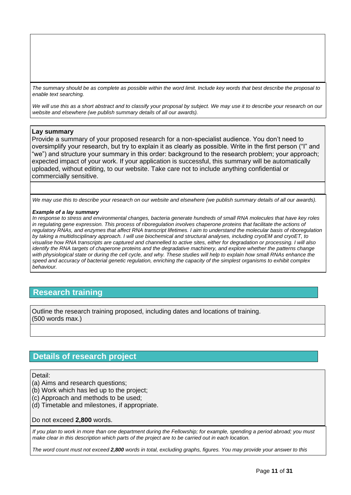*The summary should be as complete as possible within the word limit. Include key words that best describe the proposal to enable text searching.*

*We will use this as a short abstract and to classify your proposal by subject. We may use it to describe your research on our website and elsewhere (we publish summary details of all our awards).*

## **Lay summary**

Provide a summary of your proposed research for a non-specialist audience. You don't need to oversimplify your research, but try to explain it as clearly as possible. Write in the first person ("I" and "we") and structure your summary in this order: background to the research problem; your approach; expected impact of your work. If your application is successful, this summary will be automatically uploaded, without editing, to our website. Take care not to include anything confidential or commercially sensitive.

*We may use this to describe your research on our website and elsewhere (we publish summary details of all our awards).*

#### *Example of a lay summary*

*In response to stress and environmental changes, bacteria generate hundreds of small RNA molecules that have key roles*  in regulating gene expression. This process of riboregulation involves chaperone proteins that facilitate the actions of *regulatory RNAs, and enzymes that affect RNA transcript lifetimes. I aim to understand the molecular basis of riboregulation by taking a multidisciplinary approach. I will use biochemical and structural analyses, including cryoEM and cryoET, to visualise how RNA transcripts are captured and channelled to active sites, either for degradation or processing. I will also identify the RNA targets of chaperone proteins and the degradative machinery, and explore whether the patterns change* with physiological state or during the cell cycle, and why. These studies will help to explain how small RNAs enhance the *speed and accuracy of bacterial genetic regulation, enriching the capacity of the simplest organisms to exhibit complex behaviour.*

## **Research training**

Outline the research training proposed, including dates and locations of training. (500 words max.)

# **Details of research project**

#### Detail:

- (a) Aims and research questions;
- (b) Work which has led up to the project;
- (c) Approach and methods to be used;
- (d) Timetable and milestones, if appropriate.

Do not exceed **2,800** words.

*If you plan to work in more than one department during the Fellowship; for example, spending a period abroad; you must make clear in this description which parts of the project are to be carried out in each location.*

*The word count must not exceed 2,800 words in total, excluding graphs, figures. You may provide your answer to this*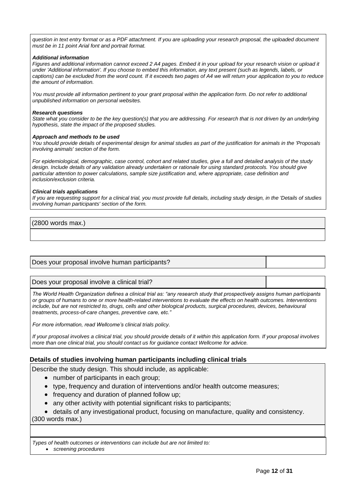*question in text entry format or as a PDF attachment. If you are uploading your research proposal, the uploaded document must be in 11 point Arial font and portrait format.*

#### *Additional information*

*Figures and additional information cannot exceed 2 A4 pages. Embed it in your upload for your research vision or upload it under 'Additional information'. If you choose to embed this information, any text present (such as legends, labels, or captions) can be excluded from the word count. If it exceeds two pages of A4 we will return your application to you to reduce the amount of information.*

*You must provide all information pertinent to your grant proposal within the application form. Do not refer to additional unpublished information on personal websites.*

#### *Research questions*

*State what you consider to be the key question(s) that you are addressing. For research that is not driven by an underlying hypothesis, state the impact of the proposed studies.*

#### *Approach and methods to be used*

*You should provide details of experimental design for animal studies as part of the justification for animals in the 'Proposals involving animals' section of the form.*

*For epidemiological, demographic, case control, cohort and related studies, give a full and detailed analysis of the study design. Include details of any validation already undertaken or rationale for using standard protocols. You should give particular attention to power calculations, sample size justification and, where appropriate, case definition and inclusion/exclusion criteria.*

#### *Clinical trials applications*

If you are requesting support for a clinical trial, you must provide full details, including study design, in the 'Details of studies *involving human participants' section of the form.*

(2800 words max.)

## Does your proposal involve human participants?

#### Does your proposal involve a clinical trial?

*The World Health Organization defines a clinical trial as: "any research study that prospectively assigns human participants or groups of humans to one or more health-related interventions to evaluate the effects on health outcomes. Interventions include, but are not restricted to, drugs, cells and other biological products, surgical procedures, devices, behavioural treatments, process-of-care changes, preventive care, etc."*

*For more information, read Wellcome's [clinical trials policy.](https://wellcome.org/grant-funding/guidance/clinical-trials-policy)*

*If your proposal involves a clinical trial, you should provide details of it within this application form. If your proposal involves more than one clinical trial, you should contact us for guidance contact Wellcome for advice.*

## **Details of studies involving human participants including clinical trials**

Describe the study design. This should include, as applicable:

- number of participants in each group;
- type, frequency and duration of interventions and/or health outcome measures;
- frequency and duration of planned follow up;
- any other activity with potential significant risks to participants;

• details of any investigational product, focusing on manufacture, quality and consistency.

(300 words max.)

*Types of health outcomes or interventions can include but are not limited to:*

• *screening procedures*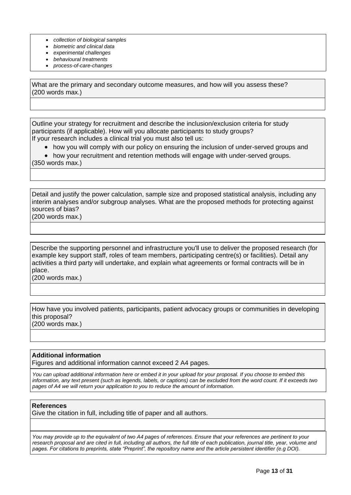- *collection of biological samples*
- *biometric and clinical data*
- *experimental challenges*
- *behavioural treatments*
- *process-of-care-changes*

What are the primary and secondary outcome measures, and how will you assess these? (200 words max.)

Outline your strategy for recruitment and describe the inclusion/exclusion criteria for study participants (if applicable). How will you allocate participants to study groups? If your research includes a [clinical trial](https://wellcome.org/grant-funding/guidance/clinical-trials-policy) you must also tell us:

- how you will comply with our policy on ensuring the inclusion of under-served groups and
- how your recruitment and retention methods will engage with under-served groups.

(350 words max.)

Detail and justify the power calculation, sample size and proposed statistical analysis, including any interim analyses and/or subgroup analyses. What are the proposed methods for protecting against sources of bias? (200 words max.)

Describe the supporting personnel and infrastructure you'll use to deliver the proposed research (for example key support staff, roles of team members, participating centre(s) or facilities). Detail any activities a third party will undertake, and explain what agreements or formal contracts will be in place.

(200 words max.)

How have you involved patients, participants, patient advocacy groups or communities in developing this proposal? (200 words max.)

## **Additional information**

Figures and additional information cannot exceed 2 A4 pages.

*You can upload additional information here or embed it in your upload for your proposal. If you choose to embed this information, any text present (such as legends, labels, or captions) can be excluded from the word count. If it exceeds two pages of A4 we will return your application to you to reduce the amount of information.*

## **References**

Give the citation in full, including title of paper and all authors.

*You may provide up to the equivalent of two A4 pages of references. Ensure that your references are pertinent to your*  research proposal and are cited in full, including all authors, the full title of each publication, journal title, year, volume and *pages. For citations to preprints, state "Preprint", the repository name and the article persistent identifier (e.g DOI).*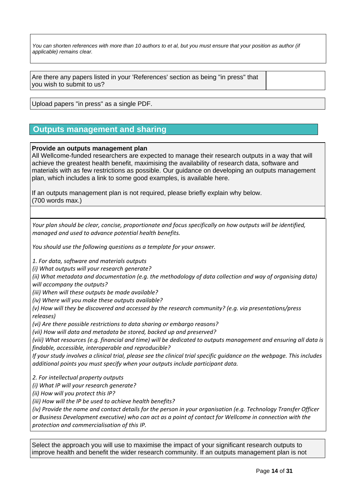*You can shorten references with more than 10 authors to et al, but you must ensure that your position as author (if applicable) remains clear.*

Are there any papers listed in your 'References' section as being "in press" that you wish to submit to us?

Upload papers "in press" as a single PDF.

# **Outputs management and sharing**

## **Provide an outputs management plan**

All Wellcome-funded researchers are expected to manage their research outputs in a way that will achieve the greatest health benefit, maximising the availability of research data, software and materials with as few restrictions as possible. Our guidance on developing an outputs management plan, which includes a link to some good examples, is available [here.](https://wellcome.org/grant-funding/guidance/how-complete-outputs-management-plan)

If an outputs management plan is not required, please briefly explain why below. (700 words max.)

*Your plan should be clear, concise, proportionate and focus specifically on how outputs will be identified, managed and used to advance potential health benefits.* 

*You should use the following questions as a template for your answer.*

*1. For data, software and materials outputs*

*(i) What outputs will your research generate?* 

*(ii) What metadata and documentation (e.g. the methodology of data collection and way of organising data) will accompany the outputs?*

*(iii) When will these outputs be made available?* 

*(iv) Where will you make these outputs available?* 

*(v) How will they be discovered and accessed by the research community? (e.g. via presentations/press releases)* 

*(vi) Are there possible restrictions to data sharing or embargo reasons?*

*(vii) How will data and metadata be stored, backed up and preserved?*

*(viii) What resources (e.g. financial and time) will be dedicated to outputs management and ensuring all data is findable, accessible, interoperable and reproducible?*

*If your study involves a clinical trial, please see the clinical trial specific guidance on the webpage. This includes additional points you must specify when your outputs include participant data.*

*2. For intellectual property outputs* 

*(i) What IP will your research generate?*

*(ii) How will you protect this IP?*

*(iii) How will the IP be used to achieve health benefits?*

*(iv) Provide the name and contact details for the person in your organisation (e.g. Technology Transfer Officer or Business Development executive) who can act as a point of contact for Wellcome in connection with the protection and commercialisation of this IP.*

Select the approach you will use to maximise the impact of your significant research outputs to improve health and benefit the wider research community. If an outputs management plan is not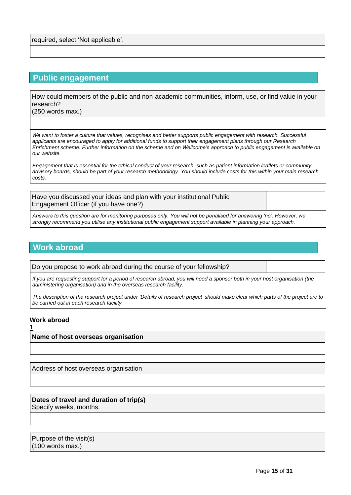required, select 'Not applicable'.

# **Public engagement**

How could members of the public and non-academic communities, inform, use, or find value in your research?

(250 words max.)

*We want to foster a culture that values, recognises and better supports public engagement with research. Successful applicants are encouraged to apply for additional funds to support their engagement plans through ou[r Research](https://wellcome.org/funding/research-enrichment-public-engagement)  [Enrichment scheme.](https://wellcome.org/funding/research-enrichment-public-engagement) Further information on the scheme and on [Wellcome's approach to public engagement](https://wellcome.org/what-we-do/our-work/public-engagement) is available on our website.*

*Engagement that is essential for the ethical conduct of your research, such as patient information leaflets or community advisory boards, should be part of your research methodology. You should include costs for this within your main research costs.*

Have you discussed your ideas and plan with your institutional Public Engagement Officer (if you have one?)

*Answers to this question are for monitoring purposes only. You will not be penalised for answering 'no'. However, we strongly recommend you utilise any institutional public engagement support available in planning your approach.*

# **Work abroad**

Do you propose to work abroad during the course of your fellowship?

*If you are requesting support for a period of research abroad, you will need a sponsor both in your host organisation (the administering organisation) and in the overseas research facility.*

*The description of the research project under 'Details of research project' should make clear which parts of the project are to be carried out in each research facility.*

## **Work abroad**

**1**

## **Name of host overseas organisation**

Address of host overseas organisation

#### **Dates of travel and duration of trip(s)** Specify weeks, months.

Purpose of the visit(s) (100 words max.)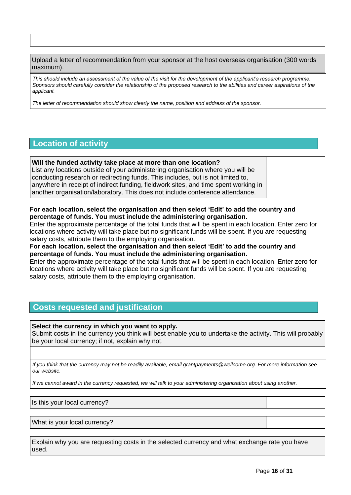Upload a letter of recommendation from your sponsor at the host overseas organisation (300 words maximum).

*This should include an assessment of the value of the visit for the development of the applicant's research programme. Sponsors should carefully consider the relationship of the proposed research to the abilities and career aspirations of the applicant.*

*The letter of recommendation should show clearly the name, position and address of the sponsor.*

# **Location of activity**

**Will the funded activity take place at more than one location?** List any locations outside of your administering organisation where you will be conducting research or redirecting funds. This includes, but is not limited to, anywhere in receipt of indirect funding, fieldwork sites, and time spent working in another organisation/laboratory. This does not include conference attendance.

## **For each location, select the organisation and then select 'Edit' to add the country and percentage of funds. You must include the administering organisation.**

Enter the approximate percentage of the total funds that will be spent in each location. Enter zero for locations where activity will take place but no significant funds will be spent. If you are requesting salary costs, attribute them to the employing organisation.

**For each location, select the organisation and then select 'Edit' to add the country and percentage of funds. You must include the administering organisation.**

Enter the approximate percentage of the total funds that will be spent in each location. Enter zero for locations where activity will take place but no significant funds will be spent. If you are requesting salary costs, attribute them to the employing organisation.

# **Costs requested and justification**

**Select the currency in which you want to apply.**

Submit costs in the currency you think will best enable you to undertake the activity. This will probably be your local currency; if not, explain why not.

*If you think that the currency may not be readily available, email grantpayments@wellcome.org. For more information see our [website.](http://www.wellcome.org/funding/guidance/currency-issues)*

*If we cannot award in the currency requested, we will talk to your administering organisation about using another.*

Is this your local currency?

What is your local currency?

Explain why you are requesting costs in the selected currency and what exchange rate you have used.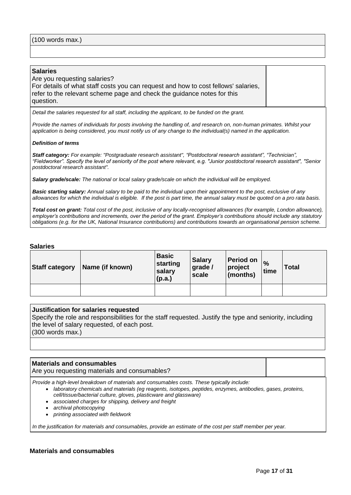#### **Salaries**

Are you requesting salaries? For details of what staff costs you can request and how to cost fellows' salaries, refer to the relevant scheme page and check the guidance notes for this question.

*Detail the salaries requested for all staff, including the applicant, to be funded on the grant.*

*Provide the names of individuals for posts involving the handling of, and research on, non-human primates. Whilst your application is being considered, you must notify us of any change to the individual(s) named in the application.*

#### *Definition of terms*

*Staff category: For example: "Postgraduate research assistant", "Postdoctoral research assistant", "Technician", "Fieldworker". Specify the level of seniority of the post where relevant, e.g. "Junior postdoctoral research assistant", "Senior postdoctoral research assistant".*

*Salary grade/scale: The national or local salary grade/scale on which the individual will be employed.*

*Basic starting salary: Annual salary to be paid to the individual upon their appointment to the post, exclusive of any allowances for which the individual is eligible. If the post is part time, the annual salary must be quoted on a pro rata basis.*

*Total cost on grant: Total cost of the post, inclusive of any locally-recognised allowances (for example, London allowance), employer's contributions and increments, over the period of the grant. Employer's contributions should include any statutory obligations (e.g. for the UK, National Insurance contributions) and contributions towards an organisational pension scheme.*

#### **Salaries**

| <b>Staff category</b> | Name (if known) | <b>Basic</b><br>starting<br>salary<br>(p.a.) | <b>Salary</b><br>grade /<br>scale | <b>Period on</b><br>project<br>$ $ (months) | $\%$<br>time | <b>Total</b> |
|-----------------------|-----------------|----------------------------------------------|-----------------------------------|---------------------------------------------|--------------|--------------|
|                       |                 |                                              |                                   |                                             |              |              |

#### **Justification for salaries requested**

Specify the role and responsibilities for the staff requested. Justify the type and seniority, including the level of salary requested, of each post.

(300 words max.)

#### **Materials and consumables**

Are you requesting materials and consumables?

*Provide a high-level breakdown of materials and consumables costs. These typically include:*

- *laboratory chemicals and materials (eg reagents, isotopes, peptides, enzymes, antibodies, gases, proteins, cell/tissue/bacterial culture, gloves, plasticware and glassware)*
- *associated charges for shipping, delivery and freight*
- *archival photocopying*
- *printing associated with fieldwork*

*In the justification for materials and consumables, provide an estimate of the cost per staff member per year.*

## **Materials and consumables**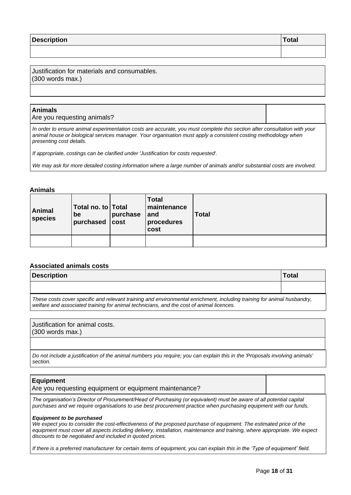| <b>Description</b> | Total |
|--------------------|-------|
|                    |       |

Justification for materials and consumables. (300 words max.)

## **Animals**

Are you requesting animals?

*In order to ensure animal experimentation costs are accurate, you must complete this section after consultation with your animal house or biological services manager. Your organisation must apply a consistent costing methodology when presenting cost details.*

*If appropriate, costings can be clarified under 'Justification for costs requested'.*

*We may ask for more detailed costing information where a large number of animals and/or substantial costs are involved.*

#### **Animals**

| Animal<br>species | Total no. to Total<br>be<br>purchased cost | purchase | <b>Total</b><br>maintenance<br>$ $ and<br>procedures<br>cost | <b>Total</b> |
|-------------------|--------------------------------------------|----------|--------------------------------------------------------------|--------------|
|                   |                                            |          |                                                              |              |

## **Associated animals costs**

| <b>Description</b>                                                                                                                                                                                                  | <b>Total</b> |
|---------------------------------------------------------------------------------------------------------------------------------------------------------------------------------------------------------------------|--------------|
|                                                                                                                                                                                                                     |              |
| These costs cover specific and relevant training and environmental enrichment, including training for animal husbandry,<br>welfare and associated training for animal technicians, and the cost of animal licences. |              |

Justification for animal costs. (300 words max.)

*Do not include a justification of the animal numbers you require; you can explain this in the 'Proposals involving animals' section.*

## **Equipment**

Are you requesting equipment or equipment maintenance?

*The organisation's Director of Procurement/Head of Purchasing (or equivalent) must be aware of all potential capital purchases and we require organisations to use best procurement practice when purchasing equipment with our funds.*

#### *Equipment to be purchased*

We expect you to consider the cost-effectiveness of the proposed purchase of equipment. The estimated price of the equipment must cover all aspects including delivery, installation, maintenance and training, where appropriate. We expect *discounts to be negotiated and included in quoted prices.*

*If there is a preferred manufacturer for certain items of equipment, you can explain this in the 'Type of equipment' field.*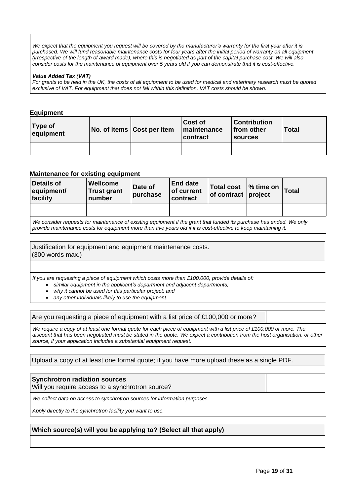*We expect that the equipment you request will be covered by the manufacturer's warranty for the first year after it is purchased. We will fund reasonable maintenance costs for four years after the initial period of warranty on all equipment (irrespective of the length of award made), where this is negotiated as part of the capital purchase cost. We will also consider costs for the maintenance of equipment over 5 years old if you can demonstrate that it is cost-effective.*

#### *Value Added Tax (VAT)*

*For grants to be held in the UK, the costs of all equipment to be used for medical and veterinary research must be quoted exclusive of VAT. For equipment that does not fall within this definition, VAT costs should be shown.*

## **Equipment**

| Type of<br>equipment | No. of items Cost per item | Cost of<br>maintenance<br>contract | <b>Contribution</b><br>$ $ from other<br><b>Sources</b> | <b>Total</b> |
|----------------------|----------------------------|------------------------------------|---------------------------------------------------------|--------------|
|                      |                            |                                    |                                                         |              |

## **Maintenance for existing equipment**

| <b>Details of</b><br>equipment/<br>facility                                                                                                                                                                                             | <b>Wellcome</b><br><b>Trust grant</b><br>number | Date of<br>purchase | <b>End date</b><br>of current<br>contract | <b>Total cost</b><br>of contract project | $\frac{1}{6}$ time on | <b>Total</b> |
|-----------------------------------------------------------------------------------------------------------------------------------------------------------------------------------------------------------------------------------------|-------------------------------------------------|---------------------|-------------------------------------------|------------------------------------------|-----------------------|--------------|
|                                                                                                                                                                                                                                         |                                                 |                     |                                           |                                          |                       |              |
| We consider requests for maintenance of existing equipment if the grant that funded its purchase has ended. We only<br>provide maintenance costs for equipment more than five years old if it is cost-effective to keep maintaining it. |                                                 |                     |                                           |                                          |                       |              |

Justification for equipment and equipment maintenance costs. (300 words max.)

*If you are requesting a piece of equipment which costs more than £100,000, provide details of:*

- *similar equipment in the applicant's department and adjacent departments;*
- *why it cannot be used for this particular project; and*
- *any other individuals likely to use the equipment.*

Are you requesting a piece of equipment with a list price of £100,000 or more?

*We require a copy of at least one formal quote for each piece of equipment with a list price of £100,000 or more. The discount that has been negotiated must be stated in the quote. We expect a contribution from the host organisation, or other source, if your application includes a substantial equipment request.*

Upload a copy of at least one formal quote; if you have more upload these as a single PDF.

# **Synchrotron radiation sources** Will you require access to a synchrotron source? *We collect data on access to synchrotron sources for information purposes.*

*Apply directly to the synchrotron facility you want to use.*

## **Which source(s) will you be applying to? (Select all that apply)**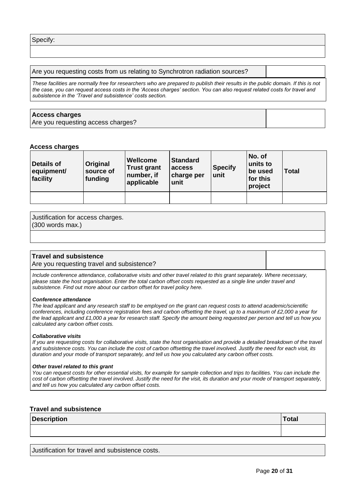#### Are you requesting costs from us relating to Synchrotron radiation sources?

*These facilities are normally free for researchers who are prepared to publish their results in the public domain. If this is not the case, you can request access costs in the 'Access charges' section. You can also request related costs for travel and subsistence in the 'Travel and subsistence' costs section.*

#### **Access charges**

Are you requesting access charges?

#### **Access charges**

| Details of<br>equipment/<br>facility | Original<br>source of<br>funding | Wellcome<br><b>Trust grant</b><br>number, if<br>applicable | <b>Standard</b><br>access<br>charge per<br>unit | <b>Specify</b><br>unit | No. of<br>units to<br>be used<br>for this<br>project | <b>Total</b> |
|--------------------------------------|----------------------------------|------------------------------------------------------------|-------------------------------------------------|------------------------|------------------------------------------------------|--------------|
|                                      |                                  |                                                            |                                                 |                        |                                                      |              |

# Justification for access charges.

(300 words max.)

## **Travel and subsistence**

Are you requesting travel and subsistence?

*Include conference attendance, collaborative visits and other travel related to this grant separately. Where necessary, please state the host organisation. Enter the total carbon offset costs requested as a single line under travel and subsistence. Find out more about our carbon offset for travel policy [here.](https://wellcome.org/funding/carbon-offset-policy-travel)*

#### *Conference attendance*

*The lead applicant and any research staff to be employed on the grant can request costs to attend academic/scientific conferences, including conference registration fees and carbon offsetting the travel, up to a maximum of £2,000 a year for the lead applicant and £1,000 a year for research staff. Specify the amount being requested per person and tell us how you calculated any carbon offset costs.*

#### *Collaborative visits*

*If you are requesting costs for collaborative visits, state the host organisation and provide a detailed breakdown of the travel and subsistence costs. You can include the cost of carbon offsetting the travel involved. Justify the need for each visit, its duration and your mode of transport separately, and tell us how you calculated any carbon offset costs.*

#### *Other travel related to this grant*

*You can request costs for other essential visits, for example for sample collection and trips to facilities. You can include the cost of carbon offsetting the travel involved. Justify the need for the visit, its duration and your mode of transport separately, and tell us how you calculated any carbon offset costs.*

## **Travel and subsistence**

| <b>Description</b> | Total |
|--------------------|-------|
|                    |       |

Justification for travel and subsistence costs.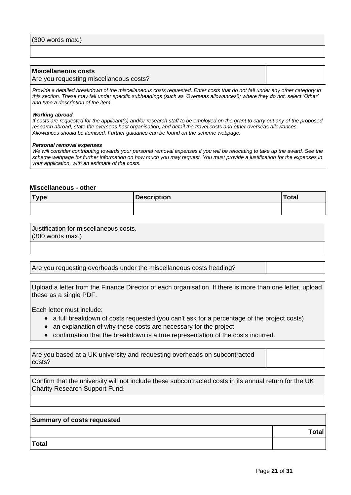#### **Miscellaneous costs**

#### Are you requesting miscellaneous costs?

*Provide a detailed breakdown of the miscellaneous costs requested. Enter costs that do not fall under any other category in this section. These may fall under specific subheadings (such as 'Overseas allowances'); where they do not, select 'Other' and type a description of the item.*

#### *Working abroad*

*If costs are requested for the applicant(s) and/or research staff to be employed on the grant to carry out any of the proposed research abroad, state the overseas host organisation, and detail the travel costs and other overseas allowances. Allowances should be itemised. Further guidance can be found on the [scheme webpage.](https://wellcome.org/funding/schemes/research-career-re-entry-fellowships)*

#### *Personal removal expenses*

*We will consider contributing towards your personal removal expenses if you will be relocating to take up the award. See the [scheme webpage](https://wellcome.org/funding/schemes/research-career-re-entry-fellowships) for further information on how much you may request. You must provide a justification for the expenses in your application, with an estimate of the costs.*

#### **Miscellaneous - other**

| <b>Type</b> | <b>Description</b> | <b>Total</b> |
|-------------|--------------------|--------------|
|             |                    |              |

Justification for miscellaneous costs. (300 words max.)

Are you requesting overheads under the miscellaneous costs heading?

Upload a letter from the Finance Director of each organisation. If there is more than one letter, upload these as a single PDF.

Each letter must include:

- a full breakdown of costs requested (you can't ask for a percentage of the project costs)
- an explanation of why these costs are necessary for the project
- confirmation that the breakdown is a true representation of the costs incurred.

Are you based at a UK university and requesting overheads on subcontracted costs?

Confirm that the university will not include these subcontracted costs in its annual return for the UK Charity Research Support Fund.

| Summary of costs requested |              |  |  |
|----------------------------|--------------|--|--|
|                            | <b>Total</b> |  |  |
| Total                      |              |  |  |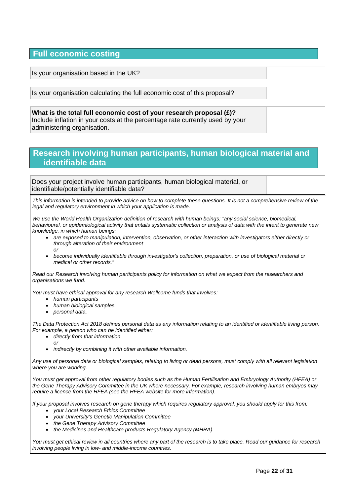# **Full economic costing**

Is your organisation based in the UK?

Is your organisation calculating the full economic cost of this proposal?

**What is the total full economic cost of your research proposal (£)?** Include inflation in your costs at the percentage rate currently used by your administering organisation.

# **Research involving human participants, human biological material and identifiable data**

Does your project involve human participants, human biological material, or identifiable/potentially identifiable data?

*This information is intended to provide advice on how to complete these questions. It is not a comprehensive review of the legal and regulatory environment in which your application is made.*

*We use the World Health Organization definition of research with human beings: "any social science, biomedical, behavioural, or epidemiological activity that entails systematic collection or analysis of data with the intent to generate new knowledge, in which human beings:*

- *are exposed to manipulation, intervention, observation, or other interaction with investigators either directly or through alteration of their environment or*
- *become individually identifiable through investigator's collection, preparation, or use of biological material or medical or other records."*

*Read our [Research involving human participants policy](https://wellcome.org/grant-funding/guidance/research-involving-human-participants-policy) for information on what we expect from the researchers and organisations we fund.*

*You must have ethical approval for any research Wellcome funds that involves:*

- *human participants*
- *human biological samples*
- *personal data.*

*The Data Protection Act 2018 defines personal data as any information relating to an identified or identifiable living person. For example, a person who can be identified either:*

- *directly from that information*
	- *or*
- *indirectly by combining it with other available information.*

*Any use of personal data or biological samples, relating to living or dead persons, must comply with all relevant legislation where you are working.*

*You must get approval from other regulatory bodies such as the Human Fertilisation and Embryology Authority (HFEA) or the Gene Therapy Advisory Committee in the UK where necessary. For example, research involving human embryos may require a licence from the HFEA (see the [HFEA website](http://www.hfea.gov.uk/) for more information).* 

*If your proposal involves research on gene therapy which requires regulatory approval, you should apply for this from:*

- *your Local Research Ethics Committee*
- *your University's Genetic Manipulation Committee*
- *the Gene Therapy Advisory Committee*
- *the Medicines and Healthcare products Regulatory Agency (MHRA).*

*You must get ethical review in all countries where any part of the research is to take place. Read ou[r guidance for research](https://wellcome.org/grant-funding/guidance/research-involving-people-low-and-middle-income-countries)  involving people living in low- [and middle-income countries.](https://wellcome.org/grant-funding/guidance/research-involving-people-low-and-middle-income-countries)*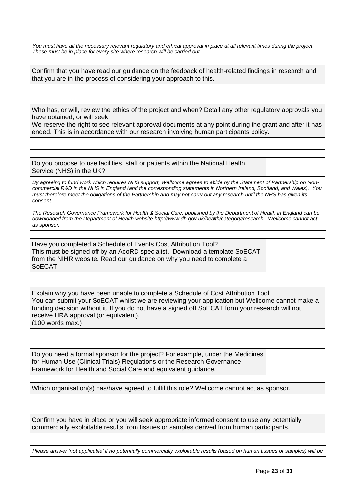*You must have all the necessary relevant regulatory and ethical approval in place at all relevant times during the project. These must be in place for every site where research will be carried out.*

Confirm that you have read our [guidance on the feedback of health-related findings in research](https://wellcome.org/grant-funding/guidance/research-involving-human-participants-policy) and that you are in the process of considering your approach to this.

Who has, or will, review the ethics of the project and when? Detail any other regulatory approvals you have obtained, or will seek.

We reserve the right to see relevant approval documents at any point during the grant and after it has ended. This is in accordance with our research involving human participants policy.

Do you propose to use facilities, staff or patients within the National Health Service (NHS) in the UK?

*By agreeing to fund work which requires NHS support, Wellcome agrees to abide by the Statement of Partnership on Noncommercial R&D in the NHS in England (and the corresponding statements in Northern Ireland, Scotland, and Wales). You must therefore meet the obligations of the Partnership and may not carry out any research until the NHS has given its consent.*

*The Research Governance Framework for Health & Social Care, published by the Department of Health in England can be downloaded from the Department of Health website [http://www.dh.gov.uk/health/category/research.](http://www.dh.gov.uk/health/category/research/) Wellcome cannot act as sponsor.*

Have you completed a Schedule of Events Cost Attribution Tool? This must be signed off by an AcoRD specialist. Download a template SoECAT from the [NIHR website.](https://www.nihr.ac.uk/researchers/collaborations-services-and-support-for-your-research/run-your-study/excess-treatment-costs.htm) Read [our guidance](https://wellcome.org/grant-funding/guidance/clinical-research-using-nhs-resources) on why you need to complete a SoECAT.

Explain why you have been unable to complete a Schedule of Cost Attribution Tool. You can submit your SoECAT whilst we are reviewing your application but Wellcome cannot make a funding decision without it. If you do not have a signed off SoECAT form your research will not receive HRA approval (or equivalent). (100 words max.)

Do you need a formal sponsor for the project? For example, under the Medicines for Human Use (Clinical Trials) Regulations or the Research Governance Framework for Health and Social Care and equivalent guidance.

Which organisation(s) has/have agreed to fulfil this role? Wellcome cannot act as sponsor.

Confirm you have in place or you will seek appropriate informed consent to use any potentially commercially exploitable results from tissues or samples derived from human participants.

*Please answer 'not applicable' if no potentially commercially exploitable results (based on human tissues or samples) will be*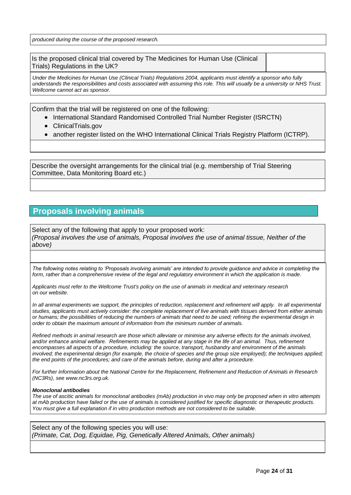*produced during the course of the proposed research.*

Is the proposed clinical trial covered by The Medicines for Human Use (Clinical Trials) Regulations in the UK?

*Under the Medicines for Human Use (Clinical Trials) Regulations 2004, applicants must identify a sponsor who fully understands the responsibilities and costs associated with assuming this role. This will usually be a university or NHS Trust. Wellcome cannot act as sponsor.*

Confirm that the trial will be registered on one of the following:

- International Standard Randomised Controlled Trial Number Register (ISRCTN)
- ClinicalTrials.gov
- another register listed on the WHO International Clinical Trials Registry Platform (ICTRP).

Describe the oversight arrangements for the clinical trial (e.g. membership of Trial Steering Committee, Data Monitoring Board etc.)

# **Proposals involving animals**

Select any of the following that apply to your proposed work: *(Proposal involves the use of animals, Proposal involves the use of animal tissue, Neither of the above)*

*The following notes relating to 'Proposals involving animals' are intended to provide guidance and advice in completing the form, rather than a comprehensive review of the legal and regulatory environment in which the application is made.*

*Applicants must refer to the Wellcome Trust's policy on the use of animals in medical and veterinary research on our [website.](https://wellcome.org/funding/guidance/use-animals-medical-and-veterinary-research)*

*In all animal experiments we support, the principles of reduction, replacement and refinement will apply. In all experimental studies, applicants must actively consider: the complete replacement of live animals with tissues derived from either animals or humans; the possibilities of reducing the numbers of animals that need to be used; refining the experimental design in order to obtain the maximum amount of information from the minimum number of animals.*

*Refined methods in animal research are those which alleviate or minimise any adverse effects for the animals involved,*  and/or enhance animal welfare. Refinements may be applied at any stage in the life of an animal. Thus, refinement *encompasses all aspects of a procedure, including: the source, transport, husbandry and environment of the animals*  involved; the experimental design (for example, the choice of species and the group size employed); the techniques applied; *the end points of the procedures; and care of the animals before, during and after a procedure.*

*For further information about the National Centre for the Replacement, Refinement and Reduction of Animals in Research (NC3Rs), see www.nc3rs.org.uk.*

#### *Monoclonal antibodies*

*The use of ascitic animals for monoclonal antibodies (mAb) production in vivo may only be proposed when in vitro attempts at mAb production have failed or the use of animals is considered justified for specific diagnostic or therapeutic products. You must give a full explanation if in vitro production methods are not considered to be suitable.*

Select any of the following species you will use: *(Primate, Cat, Dog, Equidae, Pig, Genetically Altered Animals, Other animals)*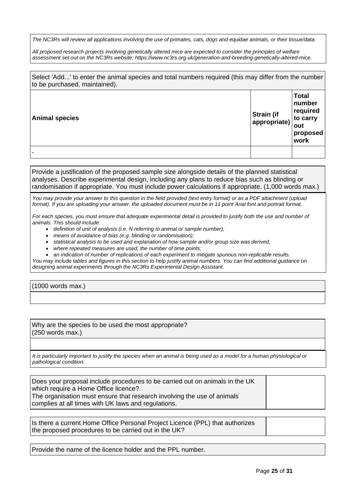*The NC3Rs will review all applications involving the use of primates, cats, dogs and equidae animals, or their tissue/data.*

*All proposed research projects involving genetically altered mice are expected to consider the principles of welfare assessment set out on the NC3Rs website: [https://www.nc3rs.org.uk/generation-and-breeding-genetically-altered-mice.](https://www.nc3rs.org.uk/generation-and-breeding-genetically-altered-mice)*

Select 'Add...' to enter the animal species and total numbers required (this may differ from the number to be purchased, maintained).

| <b>Animal species</b> | <b>Strain (if</b><br>appropriate) | <b>Total</b><br>number<br>required<br>to carry<br>out<br>proposed<br>work |
|-----------------------|-----------------------------------|---------------------------------------------------------------------------|
|                       |                                   |                                                                           |

Provide a justification of the proposed sample size alongside details of the planned statistical analyses. Describe experimental design, including any plans to reduce bias such as blinding or randomisation if appropriate. You must include power calculations if appropriate. (1,000 words max.)

*You may provide your answer to this question in the field provided (text entry format) or as a PDF attachment (upload format). If you are uploading your answer, the uploaded document must be in 11 point Arial font and portrait format.*

*For each species, you must ensure that adequate experimental detail is provided to justify both the use and number of animals. This should include:*

- *definition of unit of analysis (i.e. N referring to animal or sample number);*
- *means of avoidance of bias (e.g. blinding or randomisation);*
- *statistical analysis to be used and explanation of how sample and/or group size was derived;*
- *where repeated measures are used, the number of time points;*
- *an indication of number of replications of each experiment to mitigate spurious non-replicable results.*

*You may include tables and figures in this section to help justify animal numbers. You can find additional guidance on designing animal experiments through the [NC3Rs Experimental Design Assistant.](https://www.nc3rs.org.uk/experimental-design-assistant-eda)*

(1000 words max.)

Why are the species to be used the most appropriate? (250 words max.)

*It is particularly important to justify the species when an animal is being used as a model for a human physiological or pathological condition.*

Does your proposal include procedures to be carried out on animals in the UK which require a Home Office licence? The organisation must ensure that research involving the use of animals complies at all times with UK laws and regulations.

Is there a current Home Office Personal Project Licence (PPL) that authorizes the proposed procedures to be carried out in the UK?

Provide the name of the licence holder and the PPL number.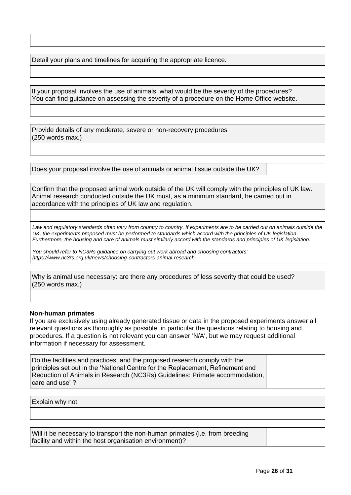Detail your plans and timelines for acquiring the appropriate licence.

If your proposal involves the use of animals, what would be the severity of the procedures? You can find guidance on assessing the severity of a procedure on the [Home Office website.](http://www.homeoffice.gov.uk/science-research/animal-research/)

Provide details of any moderate, severe or non-recovery procedures (250 words max.)

Does your proposal involve the use of animals or animal tissue outside the UK?

Confirm that the proposed animal work outside of the UK will comply with the principles of UK law. Animal research conducted outside the UK must, as a minimum standard, be carried out in accordance with the principles of UK law and regulation.

Law and regulatory standards often vary from country to country. If experiments are to be carried out on animals outside the UK, the experiments proposed must be performed to standards which accord with the principles of UK legislation. *Furthermore, the housing and care of animals must similarly accord with the standards and principles of UK legislation.*

*You should refer to NC3Rs guidance on carrying out work abroad and choosing contractors: [https://www.nc3rs.org.uk/news/choosing-contractors-animal-research](http://www.nc3rs.org.uk/news/choosing-contractors-animal-research)*

Why is animal use necessary: are there any procedures of less severity that could be used? (250 words max.)

## **Non-human primates**

If you are exclusively using already generated tissue or data in the proposed experiments answer all relevant questions as thoroughly as possible, in particular the questions relating to housing and procedures. If a question is not relevant you can answer 'N/A', but we may request additional information if necessary for assessment.

Do the facilities and practices, and the proposed research comply with the principles set out in the 'National Centre for the Replacement, Refinement and Reduction of Animals in Research (NC3Rs) Guidelines: [Primate accommodation,](http://www.nc3rs.org.uk/non-human-primate-accommodation-care-and-use)  [care and use' ?](http://www.nc3rs.org.uk/non-human-primate-accommodation-care-and-use)

Explain why not

Will it be necessary to transport the non-human primates (i.e. from breeding facility and within the host organisation environment)?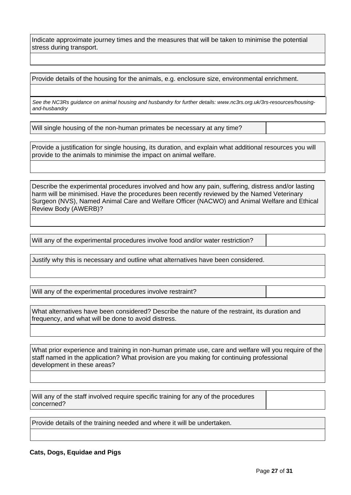Indicate approximate journey times and the measures that will be taken to minimise the potential stress during transport.

Provide details of the housing for the animals, e.g. enclosure size, environmental enrichment.

*See the NC3Rs guidance on animal housing and husbandry for further details: www.nc3rs.org.uk/3rs-resources/housingand-husbandry*

Will single housing of the non-human primates be necessary at any time?

Provide a justification for single housing, its duration, and explain what additional resources you will provide to the animals to minimise the impact on animal welfare.

Describe the experimental procedures involved and how any pain, suffering, distress and/or lasting harm will be minimised. Have the procedures been recently reviewed by the Named Veterinary Surgeon (NVS), Named Animal Care and Welfare Officer (NACWO) and Animal Welfare and Ethical Review Body (AWERB)?

Will any of the experimental procedures involve food and/or water restriction?

Justify why this is necessary and outline what alternatives have been considered.

Will any of the experimental procedures involve restraint?

What alternatives have been considered? Describe the nature of the restraint, its duration and frequency, and what will be done to avoid distress.

What prior experience and training in non-human primate use, care and welfare will you require of the staff named in the application? What provision are you making for continuing professional development in these areas?

Will any of the staff involved require specific training for any of the procedures concerned?

Provide details of the training needed and where it will be undertaken.

## **Cats, Dogs, Equidae and Pigs**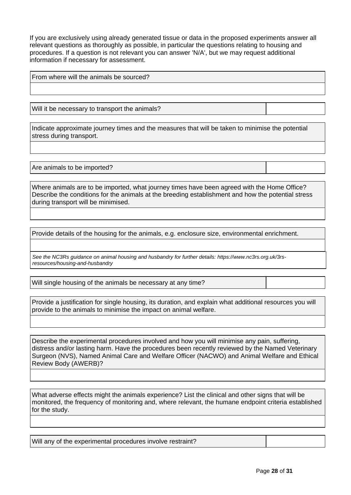If you are exclusively using already generated tissue or data in the proposed experiments answer all relevant questions as thoroughly as possible, in particular the questions relating to housing and procedures. If a question is not relevant you can answer 'N/A', but we may request additional information if necessary for assessment.

From where will the animals be sourced?

Will it be necessary to transport the animals?

Indicate approximate journey times and the measures that will be taken to minimise the potential stress during transport.

Are animals to be imported?

Where animals are to be imported, what journey times have been agreed with the Home Office? Describe the conditions for the animals at the breeding establishment and how the potential stress during transport will be minimised.

Provide details of the housing for the animals, e.g. enclosure size, environmental enrichment.

*See the NC3Rs guidance on animal housing and husbandry for further details: [https://www.nc3rs.org.uk/3rs](http://www.nc3rs.org.uk/3rs-resources/housing-and-husbandry)[resources/housing-and-husbandry](http://www.nc3rs.org.uk/3rs-resources/housing-and-husbandry)*

Will single housing of the animals be necessary at any time?

Provide a justification for single housing, its duration, and explain what additional resources you will provide to the animals to minimise the impact on animal welfare.

Describe the experimental procedures involved and how you will minimise any pain, suffering, distress and/or lasting harm. Have the procedures been recently reviewed by the Named Veterinary Surgeon (NVS), Named Animal Care and Welfare Officer (NACWO) and Animal Welfare and Ethical Review Body (AWERB)?

What adverse effects might the animals experience? List the clinical and other signs that will be monitored, the frequency of monitoring and, where relevant, the humane endpoint criteria established for the study.

Will any of the experimental procedures involve restraint?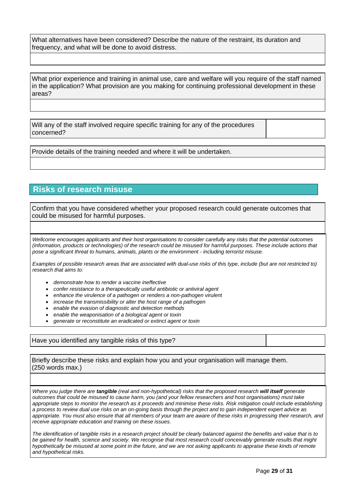What alternatives have been considered? Describe the nature of the restraint, its duration and frequency, and what will be done to avoid distress.

What prior experience and training in animal use, care and welfare will you require of the staff named in the application? What provision are you making for continuing professional development in these areas?

Will any of the staff involved require specific training for any of the procedures concerned?

Provide details of the training needed and where it will be undertaken.

# **Risks of research misuse**

Confirm that you have considered whether your proposed research could generate outcomes that could be misused for harmful purposes.

*Wellcome encourages applicants and their host organisations to consider carefully any risks that the potential outcomes (information, products or technologies) of the research could be misused for harmful purposes. These include actions that pose a significant threat to humans, animals, plants or the environment - including terrorist misuse.*

*Examples of possible research areas that are associated with dual-use risks of this type, include (but are not restricted to) research that aims to:*

- *demonstrate how to render a vaccine ineffective*
- *confer resistance to a therapeutically useful antibiotic or antiviral agent*
- *enhance the virulence of a pathogen or renders a non-pathogen virulent*
- *increase the transmissibility or alter the host range of a pathogen*
- *enable the evasion of diagnostic and detection methods*
- *enable the weaponisation of a biological agent or toxin*
- *generate or reconstitute an eradicated or extinct agent or toxin*

Have you identified any tangible risks of this type?

Briefly describe these risks and explain how you and your organisation will manage them. (250 words max.)

*Where you judge there are tangible (real and non-hypothetical) risks that the proposed research will itself generate outcomes that could be misused to cause harm, you (and your fellow researchers and host organisations) must take appropriate steps to monitor the research as it proceeds and minimise these risks. Risk mitigation could include establishing a process to review dual use risks on an on-going basis through the project and to gain independent expert advice as appropriate. You must also ensure that all members of your team are aware of these risks in progressing their research, and receive appropriate education and training on these issues.*

*The identification of tangible risks in a research project should be clearly balanced against the benefits and value that is to be gained for health, science and society. We recognise that most research could conceivably generate results that might hypothetically be misused at some point in the future, and we are not asking applicants to appraise these kinds of remote and hypothetical risks.*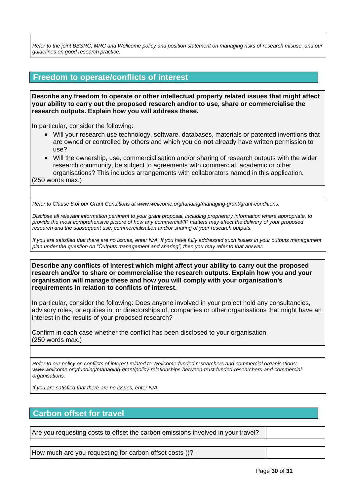*Refer to the joint BBSRC, MRC and Wellcome policy and position statement on [managing risks of research misuse,](https://wellcome.org/funding/managing-grant/managing-risks-research-misuse) and our guidelines on [good research practice.](https://wellcome.org/funding/managing-grant/policy-good-research-practice)*

# **Freedom to operate/conflicts of interest**

**Describe any freedom to operate or other intellectual property related issues that might affect your ability to carry out the proposed research and/or to use, share or commercialise the research outputs. Explain how you will address these.**

In particular, consider the following:

- Will your research use technology, software, databases, materials or patented inventions that are owned or controlled by others and which you do **not** already have written permission to use?
- Will the ownership, use, commercialisation and/or sharing of research outputs with the wider research community, be subject to agreements with commercial, academic or other organisations? This includes arrangements with collaborators named in this application.

(250 words max.)

*Refer to Clause 8 of our Grant Conditions at [www.wellcome.org/funding/managing-grant/grant-conditions.](http://www.wellcome.ac.uk/funding/managing-grant/grant-conditions)*

*Disclose all relevant information pertinent to your grant proposal, including proprietary information where appropriate, to provide the most comprehensive picture of how any commercial/IP matters may affect the delivery of your proposed research and the subsequent use, commercialisation and/or sharing of your research outputs.*

*If you are satisfied that there are no issues, enter N/A. If you have fully addressed such issues in your outputs management plan under the question on "Outputs management and sharing", then you may refer to that answer.*

**Describe any conflicts of interest which might affect your ability to carry out the proposed research and/or to share or commercialise the research outputs. Explain how you and your organisation will manage these and how you will comply with your organisation's requirements in relation to conflicts of interest.**

In particular, consider the following: Does anyone involved in your project hold any consultancies, advisory roles, or equities in, or directorships of, companies or other organisations that might have an interest in the results of your proposed research?

Confirm in each case whether the conflict has been disclosed to your organisation. (250 words max.)

*Refer to our policy on conflicts of interest related to Wellcome-funded researchers and commercial organisations: [www.wellcome.org/funding/managing-grant/policy-relationships-between-trust-funded-researchers-and-commercial](http://www.wellcome.ac.uk/funding/managing-grant/policy-relationships-between-trust-funded-researchers-and-commercial-organisations)[organisations.](http://www.wellcome.ac.uk/funding/managing-grant/policy-relationships-between-trust-funded-researchers-and-commercial-organisations)*

*If you are satisfied that there are no issues, enter N/A.*

# **Carbon offset for travel**

Are you requesting costs to offset the carbon emissions involved in your travel?

How much are you requesting for carbon offset costs ()?